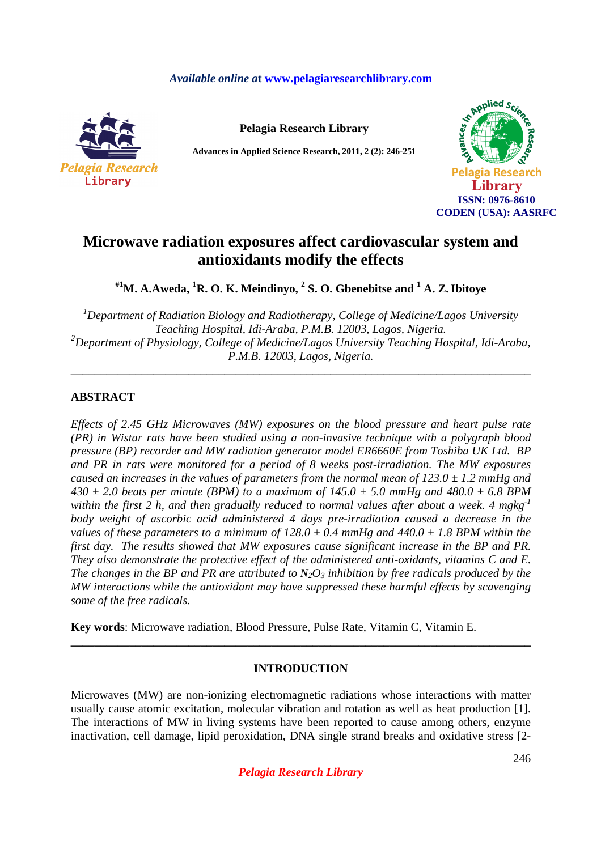## *Available online a***t www.pelagiaresearchlibrary.com**



**Pelagia Research Library** 

**Advances in Applied Science Research, 2011, 2 (2): 246-251** 



# **Microwave radiation exposures affect cardiovascular system and antioxidants modify the effects**

**#1M. A.Aweda, <sup>1</sup>R. O. K. Meindinyo, <sup>2</sup> S. O. Gbenebitse and <sup>1</sup> A. Z.Ibitoye** 

*<sup>1</sup>Department of Radiation Biology and Radiotherapy, College of Medicine/Lagos University Teaching Hospital, Idi-Araba, P.M.B. 12003, Lagos, Nigeria. <sup>2</sup>Department of Physiology, College of Medicine/Lagos University Teaching Hospital, Idi-Araba, P.M.B. 12003, Lagos, Nigeria.* 

*\_\_\_\_\_\_\_\_\_\_\_\_\_\_\_\_\_\_\_\_\_\_\_\_\_\_\_\_\_\_\_\_\_\_\_\_\_\_\_\_\_\_\_\_\_\_\_\_\_\_\_\_\_\_\_\_\_\_\_\_\_\_\_\_\_\_\_\_\_\_\_\_\_\_\_\_\_\_* 

# **ABSTRACT**

*Effects of 2.45 GHz Microwaves (MW) exposures on the blood pressure and heart pulse rate (PR) in Wistar rats have been studied using a non-invasive technique with a polygraph blood pressure (BP) recorder and MW radiation generator model ER6660E from Toshiba UK Ltd. BP and PR in rats were monitored for a period of 8 weeks post-irradiation. The MW exposures caused an increases in the values of parameters from the normal mean of 123.0 ± 1.2 mmHg and*   $430 \pm 2.0$  beats per minute (BPM) to a maximum of  $145.0 \pm 5.0$  mmHg and  $480.0 \pm 6.8$  BPM *within the first 2 h, and then gradually reduced to normal values after about a week. 4 mgkg-1 body weight of ascorbic acid administered 4 days pre-irradiation caused a decrease in the values of these parameters to a minimum of 128.0*  $\pm$  0.4 mmHg and 440.0  $\pm$  1.8 BPM within the *first day. The results showed that MW exposures cause significant increase in the BP and PR. They also demonstrate the protective effect of the administered anti-oxidants, vitamins C and E. The changes in the BP and PR are attributed to*  $N_2O_3$  *inhibition by free radicals produced by the MW interactions while the antioxidant may have suppressed these harmful effects by scavenging some of the free radicals.*

**Key words**: Microwave radiation, Blood Pressure, Pulse Rate, Vitamin C, Vitamin E.

### **INTRODUCTION**

**\_\_\_\_\_\_\_\_\_\_\_\_\_\_\_\_\_\_\_\_\_\_\_\_\_\_\_\_\_\_\_\_\_\_\_\_\_\_\_\_\_\_\_\_\_\_\_\_\_\_\_\_\_\_\_\_\_\_\_\_\_\_\_\_\_\_\_\_\_\_\_\_\_\_\_\_\_\_** 

Microwaves (MW) are non-ionizing electromagnetic radiations whose interactions with matter usually cause atomic excitation, molecular vibration and rotation as well as heat production [1]. The interactions of MW in living systems have been reported to cause among others, enzyme inactivation, cell damage, lipid peroxidation, DNA single strand breaks and oxidative stress [2-

*Pelagia Research Library*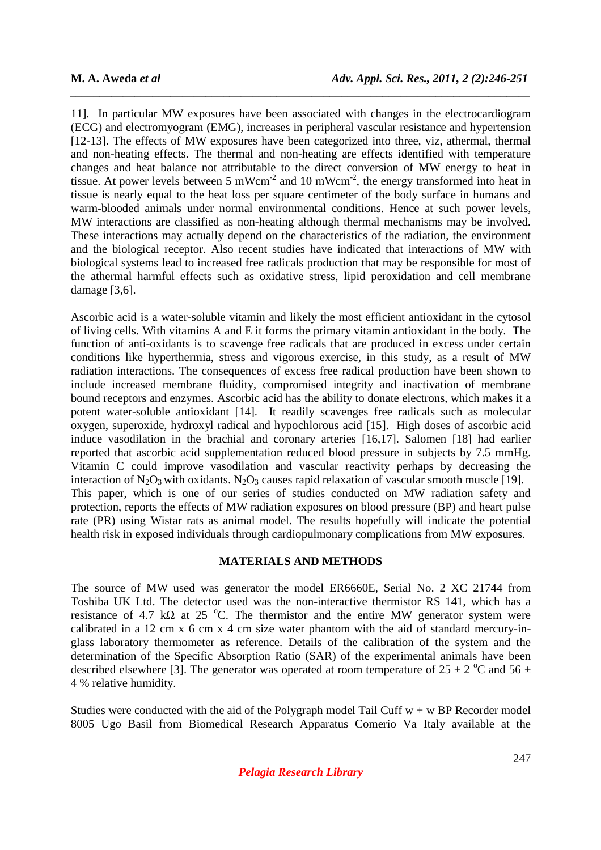11]. In particular MW exposures have been associated with changes in the electrocardiogram (ECG) and electromyogram (EMG), increases in peripheral vascular resistance and hypertension [12-13]. The effects of MW exposures have been categorized into three, viz, athermal, thermal and non-heating effects. The thermal and non-heating are effects identified with temperature changes and heat balance not attributable to the direct conversion of MW energy to heat in tissue. At power levels between 5 mWcm<sup>-2</sup> and 10 mWcm<sup>-2</sup>, the energy transformed into heat in tissue is nearly equal to the heat loss per square centimeter of the body surface in humans and warm-blooded animals under normal environmental conditions. Hence at such power levels, MW interactions are classified as non-heating although thermal mechanisms may be involved. These interactions may actually depend on the characteristics of the radiation, the environment and the biological receptor. Also recent studies have indicated that interactions of MW with biological systems lead to increased free radicals production that may be responsible for most of the athermal harmful effects such as oxidative stress, lipid peroxidation and cell membrane damage [3,6].

*\_\_\_\_\_\_\_\_\_\_\_\_\_\_\_\_\_\_\_\_\_\_\_\_\_\_\_\_\_\_\_\_\_\_\_\_\_\_\_\_\_\_\_\_\_\_\_\_\_\_\_\_\_\_\_\_\_\_\_\_\_\_\_\_\_\_\_\_\_\_\_\_\_\_\_\_\_\_*

Ascorbic acid is a water-soluble vitamin and likely the most efficient antioxidant in the cytosol of living cells. With vitamins A and E it forms the primary vitamin antioxidant in the body. The function of anti-oxidants is to scavenge free radicals that are produced in excess under certain conditions like hyperthermia, stress and vigorous exercise, in this study, as a result of MW radiation interactions. The consequences of excess free radical production have been shown to include increased membrane fluidity, compromised integrity and inactivation of membrane bound receptors and enzymes. Ascorbic acid has the ability to donate electrons, which makes it a potent water-soluble antioxidant [14]. It readily scavenges free radicals such as molecular oxygen, superoxide, hydroxyl radical and hypochlorous acid [15]. High doses of ascorbic acid induce vasodilation in the brachial and coronary arteries [16,17]. Salomen [18] had earlier reported that ascorbic acid supplementation reduced blood pressure in subjects by 7.5 mmHg. Vitamin C could improve vasodilation and vascular reactivity perhaps by decreasing the interaction of  $N_2O_3$  with oxidants.  $N_2O_3$  causes rapid relaxation of vascular smooth muscle [19]. This paper, which is one of our series of studies conducted on MW radiation safety and protection, reports the effects of MW radiation exposures on blood pressure (BP) and heart pulse rate (PR) using Wistar rats as animal model. The results hopefully will indicate the potential health risk in exposed individuals through cardiopulmonary complications from MW exposures.

### **MATERIALS AND METHODS**

The source of MW used was generator the model ER6660E, Serial No. 2 XC 21744 from Toshiba UK Ltd. The detector used was the non-interactive thermistor RS 141, which has a resistance of 4.7 kΩ at 25 °C. The thermistor and the entire MW generator system were calibrated in a 12 cm x 6 cm x 4 cm size water phantom with the aid of standard mercury-inglass laboratory thermometer as reference. Details of the calibration of the system and the determination of the Specific Absorption Ratio (SAR) of the experimental animals have been described elsewhere [3]. The generator was operated at room temperature of  $25 \pm 2$  °C and  $56 \pm 2$ 4 % relative humidity.

Studies were conducted with the aid of the Polygraph model Tail Cuff  $w + w$  BP Recorder model 8005 Ugo Basil from Biomedical Research Apparatus Comerio Va Italy available at the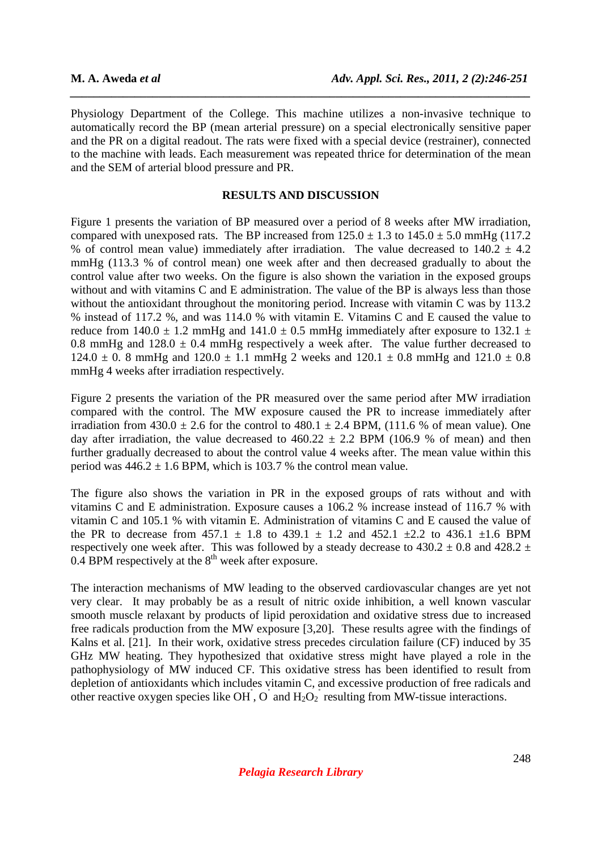Physiology Department of the College. This machine utilizes a non-invasive technique to automatically record the BP (mean arterial pressure) on a special electronically sensitive paper and the PR on a digital readout. The rats were fixed with a special device (restrainer), connected to the machine with leads. Each measurement was repeated thrice for determination of the mean and the SEM of arterial blood pressure and PR.

*\_\_\_\_\_\_\_\_\_\_\_\_\_\_\_\_\_\_\_\_\_\_\_\_\_\_\_\_\_\_\_\_\_\_\_\_\_\_\_\_\_\_\_\_\_\_\_\_\_\_\_\_\_\_\_\_\_\_\_\_\_\_\_\_\_\_\_\_\_\_\_\_\_\_\_\_\_\_*

### **RESULTS AND DISCUSSION**

Figure 1 presents the variation of BP measured over a period of 8 weeks after MW irradiation, compared with unexposed rats. The BP increased from  $125.0 \pm 1.3$  to  $145.0 \pm 5.0$  mmHg (117.2) % of control mean value) immediately after irradiation. The value decreased to  $140.2 \pm 4.2$ mmHg (113.3 % of control mean) one week after and then decreased gradually to about the control value after two weeks. On the figure is also shown the variation in the exposed groups without and with vitamins C and E administration. The value of the BP is always less than those without the antioxidant throughout the monitoring period. Increase with vitamin C was by 113.2 % instead of 117.2 %, and was 114.0 % with vitamin E. Vitamins C and E caused the value to reduce from 140.0  $\pm$  1.2 mmHg and 141.0  $\pm$  0.5 mmHg immediately after exposure to 132.1  $\pm$ 0.8 mmHg and  $128.0 \pm 0.4$  mmHg respectively a week after. The value further decreased to  $124.0 \pm 0.8$  mmHg and  $120.0 \pm 1.1$  mmHg 2 weeks and  $120.1 \pm 0.8$  mmHg and  $121.0 \pm 0.8$ mmHg 4 weeks after irradiation respectively.

Figure 2 presents the variation of the PR measured over the same period after MW irradiation compared with the control. The MW exposure caused the PR to increase immediately after irradiation from  $430.0 \pm 2.6$  for the control to  $480.1 \pm 2.4$  BPM, (111.6 % of mean value). One day after irradiation, the value decreased to  $460.22 \pm 2.2$  BPM (106.9 % of mean) and then further gradually decreased to about the control value 4 weeks after. The mean value within this period was  $446.2 \pm 1.6$  BPM, which is 103.7 % the control mean value.

The figure also shows the variation in PR in the exposed groups of rats without and with vitamins C and E administration. Exposure causes a 106.2 % increase instead of 116.7 % with vitamin C and 105.1 % with vitamin E. Administration of vitamins C and E caused the value of the PR to decrease from  $457.1 \pm 1.8$  to  $439.1 \pm 1.2$  and  $452.1 \pm 2.2$  to  $436.1 \pm 1.6$  BPM respectively one week after. This was followed by a steady decrease to  $430.2 \pm 0.8$  and  $428.2 \pm 0.8$ 0.4 BPM respectively at the  $8<sup>th</sup>$  week after exposure.

The interaction mechanisms of MW leading to the observed cardiovascular changes are yet not very clear. It may probably be as a result of nitric oxide inhibition, a well known vascular smooth muscle relaxant by products of lipid peroxidation and oxidative stress due to increased free radicals production from the MW exposure [3,20]. These results agree with the findings of Kalns et al. [21]. In their work, oxidative stress precedes circulation failure (CF) induced by 35 GHz MW heating. They hypothesized that oxidative stress might have played a role in the pathophysiology of MW induced CF. This oxidative stress has been identified to result from depletion of antioxidants which includes vitamin C, and excessive production of free radicals and other reactive oxygen species like OH<sup> $\dagger$ </sup>, O $\dot{\ }$  and H<sub>2</sub>O<sub>2</sub><sup> $\dot{\ }$ </sup> resulting from MW-tissue interactions.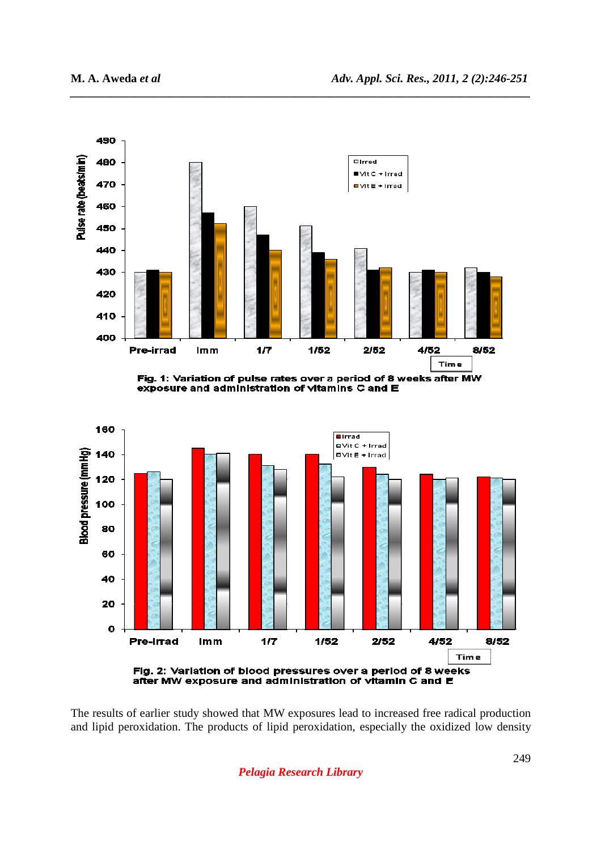

*\_\_\_\_\_\_\_\_\_\_\_\_\_\_\_\_\_\_\_\_\_\_\_\_\_\_\_\_\_\_\_\_\_\_\_\_\_\_\_\_\_\_\_\_\_\_\_\_\_\_\_\_\_\_\_\_\_\_\_\_\_\_\_\_\_\_\_\_\_\_\_\_\_\_\_\_\_\_*

Fig. 1: Variation of pulse rates over a period of 8 weeks after MW exposure and administration of vitamins C and E



The results of earlier study showed that MW exposures lead to increased free radical production and lipid peroxidation. The products of lipid peroxidation, especially the oxidized low density

*Pelagia Research Library*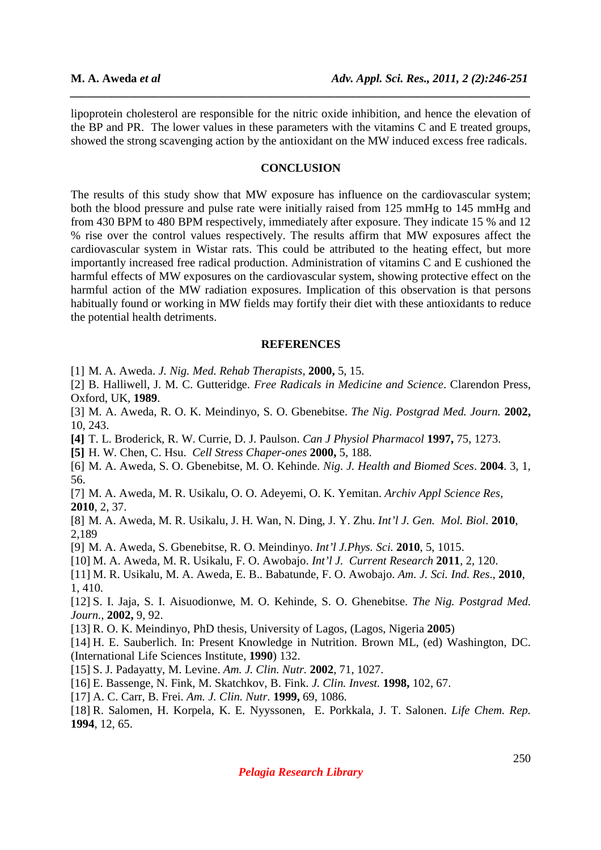lipoprotein cholesterol are responsible for the nitric oxide inhibition, and hence the elevation of the BP and PR. The lower values in these parameters with the vitamins C and E treated groups, showed the strong scavenging action by the antioxidant on the MW induced excess free radicals.

*\_\_\_\_\_\_\_\_\_\_\_\_\_\_\_\_\_\_\_\_\_\_\_\_\_\_\_\_\_\_\_\_\_\_\_\_\_\_\_\_\_\_\_\_\_\_\_\_\_\_\_\_\_\_\_\_\_\_\_\_\_\_\_\_\_\_\_\_\_\_\_\_\_\_\_\_\_\_*

#### **CONCLUSION**

The results of this study show that MW exposure has influence on the cardiovascular system; both the blood pressure and pulse rate were initially raised from 125 mmHg to 145 mmHg and from 430 BPM to 480 BPM respectively, immediately after exposure. They indicate 15 % and 12 % rise over the control values respectively. The results affirm that MW exposures affect the cardiovascular system in Wistar rats. This could be attributed to the heating effect, but more importantly increased free radical production. Administration of vitamins C and E cushioned the harmful effects of MW exposures on the cardiovascular system, showing protective effect on the harmful action of the MW radiation exposures. Implication of this observation is that persons habitually found or working in MW fields may fortify their diet with these antioxidants to reduce the potential health detriments.

#### **REFERENCES**

[1] M. A. Aweda. *J. Nig. Med. Rehab Therapists*, **2000,** 5, 15.

[2] B. Halliwell, J. M. C. Gutteridge. *Free Radicals in Medicine and Science*. Clarendon Press, Oxford, UK, **1989**.

[3] M. A. Aweda, R. O. K. Meindinyo, S. O. Gbenebitse. *The Nig. Postgrad Med. Journ.* **2002,** 10, 243.

**[4]** T. L. Broderick, R. W. Currie, D. J. Paulson. *Can J Physiol Pharmacol* **1997,** 75, 1273.

**[5]** H. W. Chen, C. Hsu. *Cell Stress Chaper-ones* **2000,** 5, 188.

[6] M. A. Aweda, S. O. Gbenebitse, M. O. Kehinde. *Nig. J. Health and Biomed Sces*. **2004**. 3, 1, 56.

[7] M. A. Aweda, M. R. Usikalu, O. O. Adeyemi, O. K. Yemitan. *Archiv Appl Science Res,*  **2010**, 2, 37.

[8] M. A. Aweda, M. R. Usikalu, J. H. Wan, N. Ding, J. Y. Zhu. *Int'l J. Gen. Mol. Biol*. **2010**, 2,189

[9] M. A. Aweda, S. Gbenebitse, R. O. Meindinyo. *Int'l J.Phys. Sci.* **2010**, 5, 1015.

[10] M. A. Aweda, M. R. Usikalu, F. O. Awobajo. *Int'l J. Current Research* **2011**, 2, 120.

[11] M. R. Usikalu, M. A. Aweda, E. B.. Babatunde, F. O. Awobajo. *Am. J. Sci. Ind. Res*., **2010**, 1, 410.

[12] S. I. Jaja, S. I. Aisuodionwe, M. O. Kehinde, S. O. Ghenebitse. *The Nig. Postgrad Med. Journ.,* **2002,** 9, 92.

[13] R. O. K. Meindinyo, PhD thesis, University of Lagos, (Lagos, Nigeria **2005**)

[14] H. E. Sauberlich. In: Present Knowledge in Nutrition. Brown ML, (ed) Washington, DC. (International Life Sciences Institute, **1990**) 132.

[15] S. J. Padayatty, M. Levine. *Am. J. Clin. Nutr.* **2002**, 71, 1027.

[16] E. Bassenge, N. Fink, M. Skatchkov, B. Fink. *J. Clin. Invest.* **1998,** 102, 67.

[17] A. C. Carr, B. Frei. *Am. J. Clin. Nutr.* **1999,** 69, 1086.

[18] R. Salomen, H. Korpela, K. E. Nyyssonen, E. Porkkala, J. T. Salonen. *Life Chem. Rep.* **1994**, 12, 65.